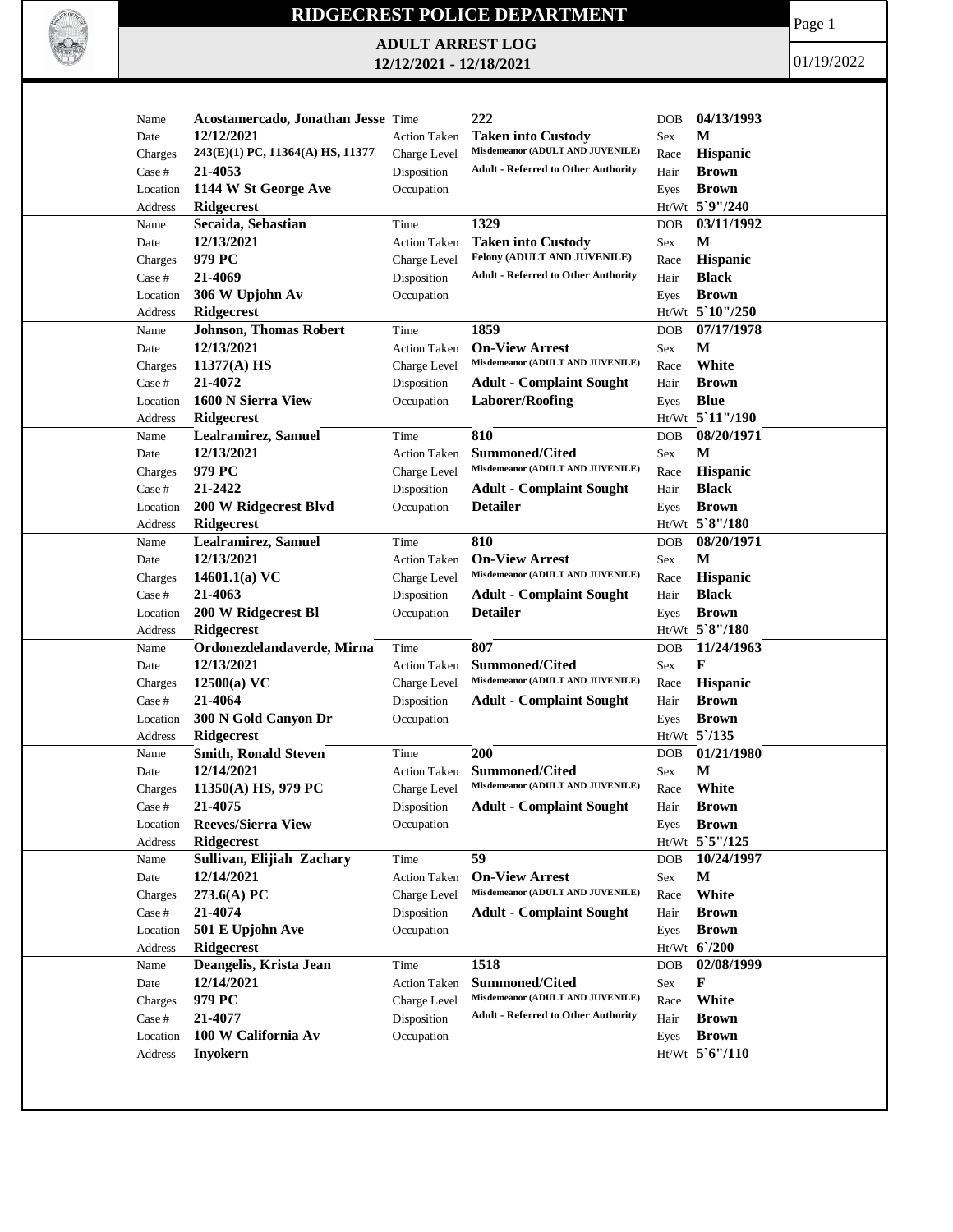

## **RIDGECREST POLICE DEPARTMENT**

**ADULT ARREST LOG 12/12/2021 - 12/18/2021**

Page 1

01/19/2022

| Name     | Acostamercado, Jonathan Jesse Time |                     | 222                                                       | DOB        | 04/13/1993                      |
|----------|------------------------------------|---------------------|-----------------------------------------------------------|------------|---------------------------------|
| Date     | 12/12/2021                         | <b>Action Taken</b> | <b>Taken into Custody</b>                                 | Sex        | M                               |
| Charges  | 243(E)(1) PC, 11364(A) HS, 11377   | Charge Level        | Misdemeanor (ADULT AND JUVENILE)                          | Race       | <b>Hispanic</b>                 |
| Case #   | 21-4053                            | Disposition         | <b>Adult - Referred to Other Authority</b>                | Hair       | <b>Brown</b>                    |
| Location | 1144 W St George Ave               | Occupation          |                                                           | Eyes       | <b>Brown</b>                    |
| Address  | Ridgecrest                         |                     |                                                           |            | Ht/Wt 5`9"/240                  |
| Name     | Secaida, Sebastian                 | Time                | 1329                                                      | <b>DOB</b> | 03/11/1992                      |
| Date     | 12/13/2021                         | <b>Action Taken</b> | <b>Taken into Custody</b>                                 | Sex        | M                               |
| Charges  | 979 PC                             | Charge Level        | Felony (ADULT AND JUVENILE)                               | Race       | Hispanic                        |
| Case #   | 21-4069                            | Disposition         | <b>Adult - Referred to Other Authority</b>                | Hair       | <b>Black</b>                    |
| Location | 306 W Upjohn Av                    | Occupation          |                                                           | Eyes       | <b>Brown</b>                    |
| Address  | <b>Ridgecrest</b>                  |                     |                                                           |            | Ht/Wt 5`10"/250                 |
| Name     | <b>Johnson, Thomas Robert</b>      | Time                | 1859                                                      | <b>DOB</b> | 07/17/1978                      |
| Date     | 12/13/2021                         | <b>Action Taken</b> | <b>On-View Arrest</b>                                     | Sex        | M                               |
| Charges  | 11377(A) HS                        | Charge Level        | Misdemeanor (ADULT AND JUVENILE)                          | Race       | White                           |
| Case #   | 21-4072                            | Disposition         | <b>Adult - Complaint Sought</b>                           | Hair       | <b>Brown</b>                    |
| Location | 1600 N Sierra View                 | Occupation          | <b>Laborer/Roofing</b>                                    | Eyes       | <b>Blue</b>                     |
| Address  | <b>Ridgecrest</b>                  |                     |                                                           |            | Ht/Wt 5'11"/190                 |
| Name     | <b>Lealramirez, Samuel</b>         | Time                | 810                                                       | <b>DOB</b> | 08/20/1971                      |
| Date     | 12/13/2021                         | <b>Action Taken</b> | <b>Summoned/Cited</b>                                     | Sex        | M                               |
|          | 979 PC                             | Charge Level        | Misdemeanor (ADULT AND JUVENILE)                          |            |                                 |
| Charges  | 21-2422                            | Disposition         |                                                           | Race       | <b>Hispanic</b><br><b>Black</b> |
| Case #   |                                    |                     | <b>Adult - Complaint Sought</b><br><b>Detailer</b>        | Hair       | <b>Brown</b>                    |
| Location | 200 W Ridgecrest Blvd              | Occupation          |                                                           | Eyes       | Ht/Wt 5`8"/180                  |
| Address  | <b>Ridgecrest</b>                  |                     |                                                           |            | 08/20/1971                      |
| Name     | Lealramirez, Samuel                | Time                | 810                                                       | <b>DOB</b> |                                 |
| Date     | 12/13/2021                         | Action Taken        | <b>On-View Arrest</b><br>Misdemeanor (ADULT AND JUVENILE) | Sex        | M                               |
| Charges  | 14601.1(a) $VC$                    | Charge Level        |                                                           | Race       | Hispanic                        |
| Case #   | 21-4063                            | Disposition         | <b>Adult - Complaint Sought</b>                           | Hair       | <b>Black</b>                    |
| Location | 200 W Ridgecrest Bl                | Occupation          | <b>Detailer</b>                                           | Eyes       | <b>Brown</b>                    |
| Address  | <b>Ridgecrest</b>                  |                     |                                                           |            | Ht/Wt 5`8"/180                  |
| Name     | Ordonezdelandaverde, Mirna         | Time                | 807                                                       | <b>DOB</b> | 11/24/1963                      |
| Date     | 12/13/2021                         | <b>Action Taken</b> | Summoned/Cited                                            | Sex        | F                               |
| Charges  | 12500(a) VC                        | Charge Level        | Misdemeanor (ADULT AND JUVENILE)                          | Race       | Hispanic                        |
| Case #   | 21-4064                            | Disposition         | <b>Adult - Complaint Sought</b>                           | Hair       | <b>Brown</b>                    |
| Location | 300 N Gold Canyon Dr               | Occupation          |                                                           | Eyes       | <b>Brown</b>                    |
| Address  | Ridgecrest                         |                     |                                                           |            | $Ht/Wt$ 5 /135                  |
| Name     | <b>Smith, Ronald Steven</b>        | Time                | 200                                                       | DOB        | 01/21/1980                      |
| Date     | 12/14/2021                         | <b>Action Taken</b> | <b>Summoned/Cited</b>                                     | Sex        | M                               |
| Charges  | $11350(A)$ HS, 979 PC              | Charge Level        | Misdemeanor (ADULT AND JUVENILE)                          | Race       | White                           |
| Case #   | 21-4075                            | Disposition         | <b>Adult - Complaint Sought</b>                           | Hair       | <b>Brown</b>                    |
| Location | <b>Reeves/Sierra View</b>          | Occupation          |                                                           |            | Eyes <b>Brown</b>               |
| Address  | Ridgecrest                         |                     |                                                           |            | Ht/Wt 5`5"/125                  |
| Name     | Sullivan, Elijiah Zachary          | Time                | 59                                                        | <b>DOB</b> | 10/24/1997                      |
| Date     | 12/14/2021                         | <b>Action Taken</b> | <b>On-View Arrest</b>                                     | Sex        | М                               |
| Charges  | 273.6(A) PC                        | Charge Level        | Misdemeanor (ADULT AND JUVENILE)                          | Race       | White                           |
| Case #   | 21-4074                            | Disposition         | <b>Adult - Complaint Sought</b>                           | Hair       | <b>Brown</b>                    |
| Location | 501 E Upjohn Ave                   | Occupation          |                                                           | Eyes       | <b>Brown</b>                    |
| Address  | <b>Ridgecrest</b>                  |                     |                                                           |            | Ht/Wt 6'/200                    |
| Name     | Deangelis, Krista Jean             | Time                | 1518                                                      | <b>DOB</b> | 02/08/1999                      |
| Date     | 12/14/2021                         | <b>Action Taken</b> | <b>Summoned/Cited</b>                                     | Sex        | F                               |
| Charges  | 979 PC                             | Charge Level        | Misdemeanor (ADULT AND JUVENILE)                          | Race       | White                           |
| Case #   | 21-4077                            | Disposition         | <b>Adult - Referred to Other Authority</b>                | Hair       | <b>Brown</b>                    |
| Location | 100 W California Av                | Occupation          |                                                           | Eyes       | <b>Brown</b>                    |
| Address  | <b>Inyokern</b>                    |                     |                                                           |            | Ht/Wt 5'6"/110                  |
|          |                                    |                     |                                                           |            |                                 |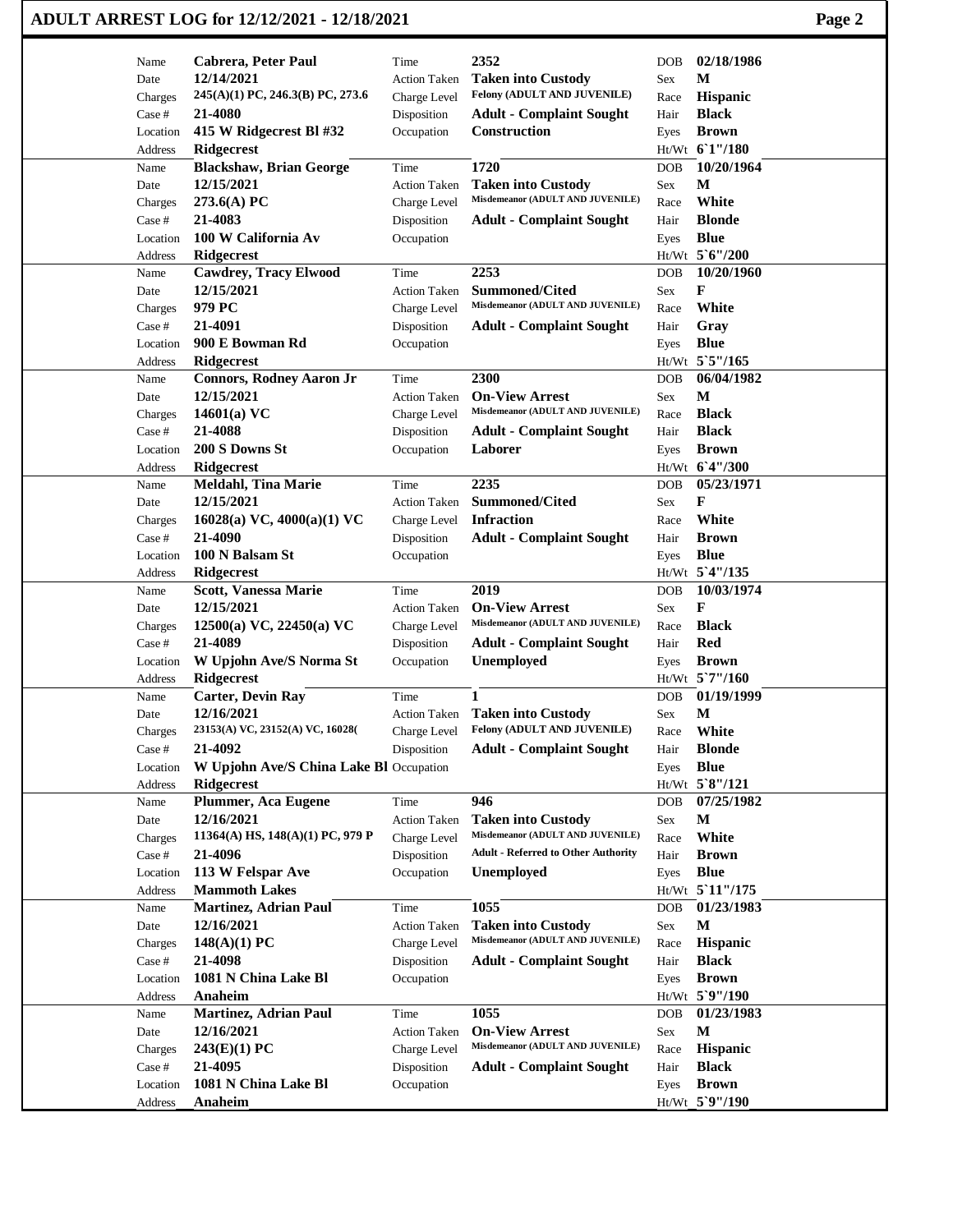## **ADULT ARREST LOG for 12/12/2021 - 12/18/2021 Page 2**

| Name                | Cabrera, Peter Paul                          | Time                        | 2352                                                          | DOB          | 02/18/1986                     |
|---------------------|----------------------------------------------|-----------------------------|---------------------------------------------------------------|--------------|--------------------------------|
| Date                | 12/14/2021                                   | <b>Action Taken</b>         | <b>Taken into Custody</b><br>Felony (ADULT AND JUVENILE)      | Sex          | M                              |
| Charges             | 245(A)(1) PC, 246.3(B) PC, 273.6             | Charge Level                |                                                               | Race         | Hispanic                       |
| Case #              | 21-4080                                      | Disposition                 | <b>Adult - Complaint Sought</b>                               | Hair         | <b>Black</b>                   |
| Location            | 415 W Ridgecrest Bl #32                      | Occupation                  | Construction                                                  | Eyes         | <b>Brown</b>                   |
| Address             | Ridgecrest                                   |                             |                                                               |              | Ht/Wt 61"/180                  |
| Name                | <b>Blackshaw, Brian George</b><br>12/15/2021 | Time                        | 1720                                                          | <b>DOB</b>   | 10/20/1964<br>М                |
| Date                | 273.6(A) PC                                  | <b>Action Taken</b>         | <b>Taken into Custody</b><br>Misdemeanor (ADULT AND JUVENILE) | Sex          | White                          |
| Charges<br>Case #   | 21-4083                                      | Charge Level<br>Disposition | <b>Adult - Complaint Sought</b>                               | Race<br>Hair | <b>Blonde</b>                  |
| Location            | 100 W California Av                          | Occupation                  |                                                               | Eyes         | <b>Blue</b>                    |
| Address             | Ridgecrest                                   |                             |                                                               |              | Ht/Wt 5'6"/200                 |
| Name                | <b>Cawdrey, Tracy Elwood</b>                 | Time                        | 2253                                                          | DOB          | 10/20/1960                     |
| Date                | 12/15/2021                                   | <b>Action Taken</b>         | <b>Summoned/Cited</b>                                         | Sex          | F                              |
| Charges             | 979 PC                                       | Charge Level                | Misdemeanor (ADULT AND JUVENILE)                              | Race         | White                          |
| Case #              | 21-4091                                      | Disposition                 | <b>Adult - Complaint Sought</b>                               | Hair         | Gray                           |
| Location            | 900 E Bowman Rd                              | Occupation                  |                                                               | Eyes         | <b>Blue</b>                    |
| Address             | <b>Ridgecrest</b>                            |                             |                                                               |              | Ht/Wt 5`5"/165                 |
| Name                | <b>Connors, Rodney Aaron Jr</b>              | Time                        | 2300                                                          | DOB          | 06/04/1982                     |
| Date                | 12/15/2021                                   | <b>Action Taken</b>         | <b>On-View Arrest</b>                                         | Sex          | M                              |
| Charges             | $14601(a)$ VC                                | Charge Level                | Misdemeanor (ADULT AND JUVENILE)                              | Race         | <b>Black</b>                   |
| Case #              | 21-4088                                      | Disposition                 | <b>Adult - Complaint Sought</b>                               | Hair         | <b>Black</b>                   |
| Location            | 200 S Downs St                               | Occupation                  | Laborer                                                       | Eyes         | <b>Brown</b>                   |
| Address             | Ridgecrest                                   |                             |                                                               |              | Ht/Wt 6'4"/300                 |
| Name                | <b>Meldahl, Tina Marie</b>                   | Time                        | 2235                                                          | <b>DOB</b>   | 05/23/1971                     |
| Date                | 12/15/2021                                   | <b>Action Taken</b>         | <b>Summoned/Cited</b>                                         | Sex          | F                              |
| Charges             | 16028(a) VC, 4000(a)(1) VC                   | Charge Level                | <b>Infraction</b>                                             | Race         | White                          |
| Case #              | 21-4090                                      | Disposition                 | <b>Adult - Complaint Sought</b>                               | Hair         | <b>Brown</b>                   |
| Location            | 100 N Balsam St                              | Occupation                  |                                                               | Eyes         | <b>Blue</b>                    |
| Address             | Ridgecrest                                   |                             |                                                               |              | Ht/Wt 5'4"/135                 |
| Name                | Scott, Vanessa Marie                         | Time                        | 2019                                                          | <b>DOB</b>   | 10/03/1974                     |
| Date                | 12/15/2021                                   | <b>Action Taken</b>         | <b>On-View Arrest</b><br>Misdemeanor (ADULT AND JUVENILE)     | Sex          | F                              |
| Charges             | $12500(a)$ VC, $22450(a)$ VC<br>21-4089      | Charge Level                |                                                               | Race         | <b>Black</b>                   |
| Case #              |                                              | Disposition                 | <b>Adult - Complaint Sought</b>                               | Hair         | <b>Red</b><br><b>Brown</b>     |
| Location            | W Upjohn Ave/S Norma St<br><b>Ridgecrest</b> | Occupation                  | <b>Unemployed</b>                                             | Eyes         | Ht/Wt 5'7"/160                 |
| Address<br>Name     | <b>Carter, Devin Ray</b>                     | Time                        | $\mathbf{1}$                                                  | DOB          | 01/19/1999                     |
| Date                | 12/16/2021                                   | <b>Action Taken</b>         | <b>Taken into Custody</b>                                     | Sex          | $\mathbf M$                    |
| Charges             | 23153(A) VC, 23152(A) VC, 16028(             | Charge Level                | <b>Felony (ADULT AND JUVENILE)</b>                            | Race         | White                          |
| Case #              | 21-4092                                      | Disposition                 | <b>Adult - Complaint Sought</b>                               | Hair         | <b>Blonde</b>                  |
| Location            | W Upjohn Ave/S China Lake Bl Occupation      |                             |                                                               | Eyes         | <b>Blue</b>                    |
| Address             | Ridgecrest                                   |                             |                                                               |              | Ht/Wt 5`8"/121                 |
| Name                | Plummer, Aca Eugene                          | Time                        | 946                                                           | <b>DOB</b>   | 07/25/1982                     |
| Date                | 12/16/2021                                   | <b>Action Taken</b>         | <b>Taken into Custody</b>                                     | Sex          | M                              |
| Charges             | 11364(A) HS, 148(A)(1) PC, 979 P             | Charge Level                | Misdemeanor (ADULT AND JUVENILE)                              | Race         | White                          |
|                     |                                              |                             |                                                               |              |                                |
| Case #              | 21-4096                                      | Disposition                 | <b>Adult - Referred to Other Authority</b>                    | Hair         | <b>Brown</b>                   |
| Location            | 113 W Felspar Ave                            | Occupation                  | <b>Unemployed</b>                                             | Eyes         | <b>Blue</b>                    |
| Address             | <b>Mammoth Lakes</b>                         |                             |                                                               |              | Ht/Wt 5 11"/175                |
| Name                | <b>Martinez, Adrian Paul</b>                 | Time                        | 1055                                                          | <b>DOB</b>   | 01/23/1983                     |
| Date                | 12/16/2021                                   | <b>Action Taken</b>         | <b>Taken into Custody</b>                                     | Sex          | M                              |
| Charges             | $148(A)(1)$ PC                               | Charge Level                | Misdemeanor (ADULT AND JUVENILE)                              | Race         | Hispanic                       |
| Case #              | 21-4098                                      | Disposition                 | <b>Adult - Complaint Sought</b>                               | Hair         | <b>Black</b>                   |
| Location            | 1081 N China Lake Bl                         | Occupation                  |                                                               | Eyes         | <b>Brown</b>                   |
| Address             | Anaheim                                      |                             |                                                               |              | Ht/Wt 5`9"/190                 |
| Name                | <b>Martinez, Adrian Paul</b>                 | Time                        | 1055                                                          | <b>DOB</b>   | 01/23/1983                     |
| Date                | 12/16/2021                                   | <b>Action Taken</b>         | <b>On-View Arrest</b>                                         | Sex          | $\mathbf M$                    |
| Charges             | 243(E)(1) PC                                 | Charge Level                | Misdemeanor (ADULT AND JUVENILE)                              | Race         | Hispanic                       |
| Case #              | 21-4095                                      | Disposition                 | <b>Adult - Complaint Sought</b>                               | Hair         | <b>Black</b>                   |
| Location<br>Address | 1081 N China Lake Bl<br>Anaheim              | Occupation                  |                                                               | Eyes         | <b>Brown</b><br>Ht/Wt_5`9"/190 |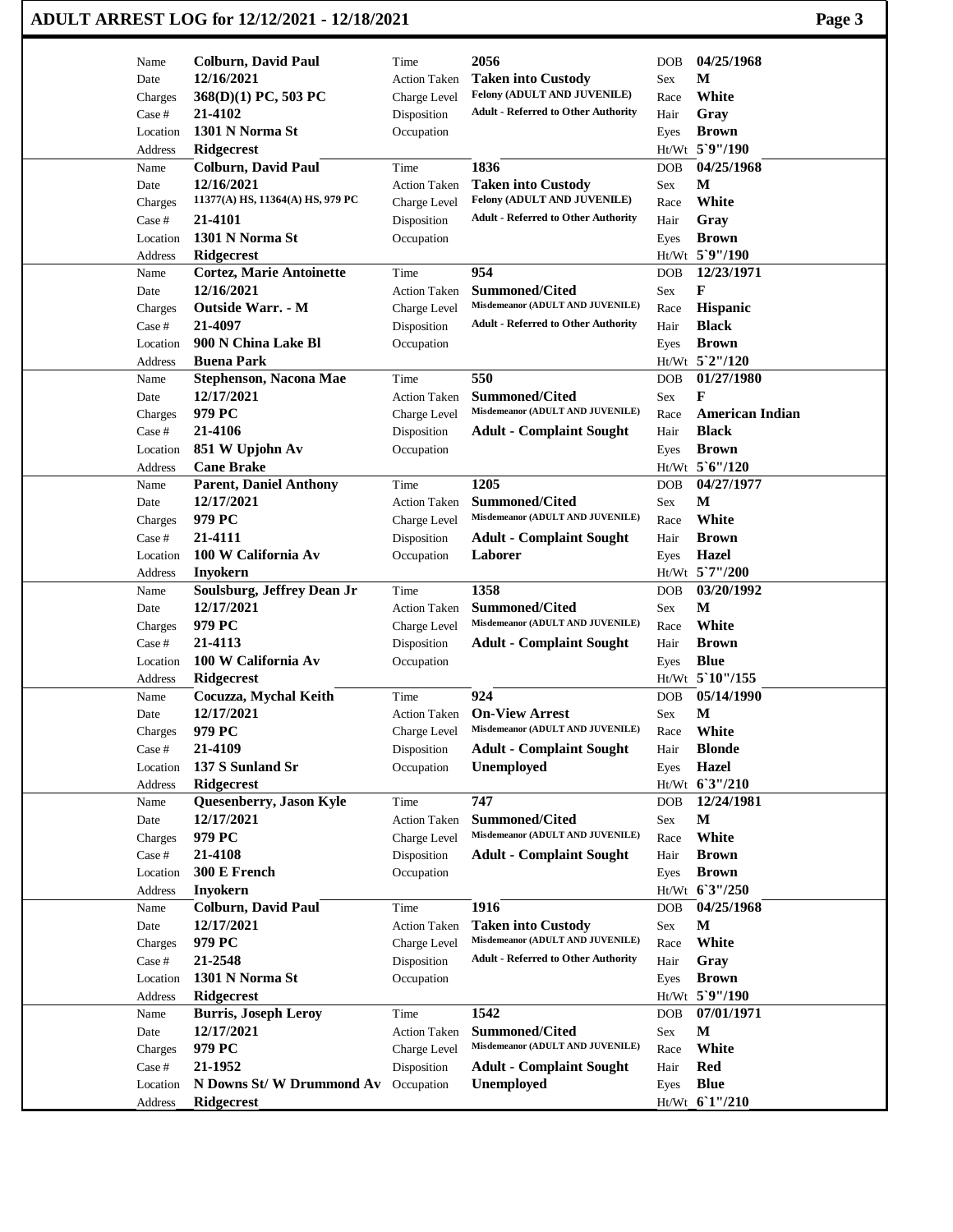| Name<br>Date<br>Charges<br>Case #<br>Location | <b>Colburn, David Paul</b><br>12/16/2021 | Time<br><b>Action Taken</b> | 2056                                       | <b>DOB</b> | 04/25/1968             |  |
|-----------------------------------------------|------------------------------------------|-----------------------------|--------------------------------------------|------------|------------------------|--|
|                                               |                                          |                             |                                            |            |                        |  |
|                                               |                                          |                             | <b>Taken into Custody</b>                  | Sex        | М                      |  |
|                                               | 368(D)(1) PC, 503 PC                     | Charge Level                | Felony (ADULT AND JUVENILE)                | Race       | White                  |  |
|                                               | 21-4102                                  | Disposition                 | <b>Adult - Referred to Other Authority</b> | Hair       | Gray                   |  |
|                                               | 1301 N Norma St                          | Occupation                  |                                            | Eyes       | <b>Brown</b>           |  |
| Address                                       | <b>Ridgecrest</b>                        |                             |                                            |            | Ht/Wt 5`9"/190         |  |
| Name                                          | <b>Colburn, David Paul</b>               | Time                        | 1836                                       | <b>DOB</b> | 04/25/1968             |  |
| Date                                          | 12/16/2021                               | <b>Action Taken</b>         | <b>Taken into Custody</b>                  | Sex        | М                      |  |
| Charges                                       | 11377(A) HS, 11364(A) HS, 979 PC         | Charge Level                | Felony (ADULT AND JUVENILE)                | Race       | White                  |  |
| Case #                                        | 21-4101                                  | Disposition                 | <b>Adult - Referred to Other Authority</b> | Hair       | Gray                   |  |
| Location                                      | 1301 N Norma St                          | Occupation                  |                                            | Eyes       | <b>Brown</b>           |  |
| Address                                       | Ridgecrest                               |                             |                                            |            | Ht/Wt 5`9"/190         |  |
| Name                                          | <b>Cortez, Marie Antoinette</b>          | Time                        | 954                                        | <b>DOB</b> | 12/23/1971             |  |
| Date                                          | 12/16/2021                               | <b>Action Taken</b>         | <b>Summoned/Cited</b>                      | <b>Sex</b> | F                      |  |
| Charges                                       | <b>Outside Warr. - M</b>                 | Charge Level                | Misdemeanor (ADULT AND JUVENILE)           | Race       | <b>Hispanic</b>        |  |
| Case #                                        | 21-4097                                  | Disposition                 | <b>Adult - Referred to Other Authority</b> | Hair       | <b>Black</b>           |  |
| Location                                      | 900 N China Lake Bl                      | Occupation                  |                                            | Eyes       | <b>Brown</b>           |  |
| Address                                       | <b>Buena Park</b>                        |                             |                                            |            | Ht/Wt 5`2"/120         |  |
| Name                                          | <b>Stephenson, Nacona Mae</b>            | Time                        | 550                                        | <b>DOB</b> | 01/27/1980             |  |
| Date                                          | 12/17/2021                               | <b>Action Taken</b>         | <b>Summoned/Cited</b>                      | Sex        | F                      |  |
| Charges                                       | 979 PC                                   | Charge Level                | Misdemeanor (ADULT AND JUVENILE)           | Race       | <b>American Indian</b> |  |
| Case #                                        | 21-4106                                  | Disposition                 | <b>Adult - Complaint Sought</b>            | Hair       | <b>Black</b>           |  |
| Location                                      | 851 W Upjohn Av                          | Occupation                  |                                            | Eyes       | <b>Brown</b>           |  |
| Address                                       | <b>Cane Brake</b>                        |                             |                                            |            | Ht/Wt 5'6"/120         |  |
| Name                                          | Parent, Daniel Anthony                   | Time                        | 1205                                       | <b>DOB</b> | 04/27/1977             |  |
| Date                                          | 12/17/2021                               | <b>Action Taken</b>         | <b>Summoned/Cited</b>                      | <b>Sex</b> | М                      |  |
| Charges                                       | 979 PC                                   | Charge Level                | Misdemeanor (ADULT AND JUVENILE)           | Race       | White                  |  |
| Case #                                        | 21-4111                                  | Disposition                 | <b>Adult - Complaint Sought</b>            | Hair       | <b>Brown</b>           |  |
| Location                                      | 100 W California Av                      | Occupation                  | Laborer                                    | Eyes       | <b>Hazel</b>           |  |
| Address                                       | <b>Inyokern</b>                          |                             |                                            |            | Ht/Wt 5'7"/200         |  |
| Name                                          | Soulsburg, Jeffrey Dean Jr               | Time                        | 1358                                       | <b>DOB</b> | 03/20/1992             |  |
| Date                                          | 12/17/2021                               | <b>Action Taken</b>         | Summoned/Cited                             | Sex        | M                      |  |
| Charges                                       | 979 PC                                   | Charge Level                | Misdemeanor (ADULT AND JUVENILE)           | Race       | White                  |  |
| Case #                                        | 21-4113                                  | Disposition                 | <b>Adult - Complaint Sought</b>            | Hair       | <b>Brown</b>           |  |
| Location                                      | 100 W California Av                      | Occupation                  |                                            |            | <b>Blue</b>            |  |
|                                               |                                          |                             |                                            | Eyes       | Ht/Wt 5`10"/155        |  |
| Address                                       | Ridgecrest<br>Cocuzza, Mychal Keith      | Time                        | 924                                        |            | 05/14/1990             |  |
| Name                                          | 12/17/2021                               |                             | <b>On-View Arrest</b>                      | <b>DOB</b> | $\mathbf M$            |  |
| Date                                          |                                          | Action Taken                | Misdemeanor (ADULT AND JUVENILE)           | Sex        |                        |  |
| Charges                                       | 979 PC                                   | Charge Level                |                                            | Race       | White                  |  |
| Case #                                        | 21-4109                                  | Disposition                 | <b>Adult - Complaint Sought</b>            | Hair       | <b>Blonde</b>          |  |
| Location                                      | 137 S Sunland Sr                         | Occupation                  | Unemployed                                 | Eyes       | <b>Hazel</b>           |  |
| Address                                       | <b>Ridgecrest</b>                        |                             |                                            |            | Ht/Wt 6'3"/210         |  |
| Name                                          | Quesenberry, Jason Kyle                  | Time                        | 747                                        | <b>DOB</b> | 12/24/1981             |  |
| Date                                          | 12/17/2021                               | <b>Action Taken</b>         | <b>Summoned/Cited</b>                      | Sex        | M                      |  |
| Charges                                       | 979 PC                                   | Charge Level                | Misdemeanor (ADULT AND JUVENILE)           | Race       | White                  |  |
| Case #                                        | 21-4108                                  | Disposition                 | <b>Adult - Complaint Sought</b>            | Hair       | <b>Brown</b>           |  |
| Location                                      | 300 E French                             | Occupation                  |                                            | Eyes       | <b>Brown</b>           |  |
| Address                                       | <b>Inyokern</b>                          |                             |                                            |            | Ht/Wt 63"/250          |  |
| Name                                          | <b>Colburn, David Paul</b>               | Time                        | 1916                                       | <b>DOB</b> | 04/25/1968             |  |
| Date                                          | 12/17/2021                               | <b>Action Taken</b>         | <b>Taken into Custody</b>                  | Sex        | $\mathbf M$            |  |
| Charges                                       | 979 PC                                   | Charge Level                | Misdemeanor (ADULT AND JUVENILE)           | Race       | White                  |  |
| Case #                                        | 21-2548                                  | Disposition                 | <b>Adult - Referred to Other Authority</b> | Hair       | Gray                   |  |
| Location                                      | 1301 N Norma St                          | Occupation                  |                                            | Eyes       | <b>Brown</b>           |  |
| Address                                       | <b>Ridgecrest</b>                        |                             |                                            |            | Ht/Wt 5`9"/190         |  |
| Name                                          | <b>Burris, Joseph Leroy</b>              | Time                        | 1542                                       | <b>DOB</b> | 07/01/1971             |  |
| Date                                          | 12/17/2021                               | Action Taken                | <b>Summoned/Cited</b>                      | Sex        | $\mathbf M$            |  |
| Charges                                       | 979 PC                                   | Charge Level                | Misdemeanor (ADULT AND JUVENILE)           | Race       | White                  |  |
| Case #                                        | 21-1952                                  | Disposition                 | <b>Adult - Complaint Sought</b>            | Hair       | <b>Red</b>             |  |
| Location                                      | N Downs St/W Drummond Av Occupation      |                             | Unemployed                                 | Eyes       | <b>Blue</b>            |  |